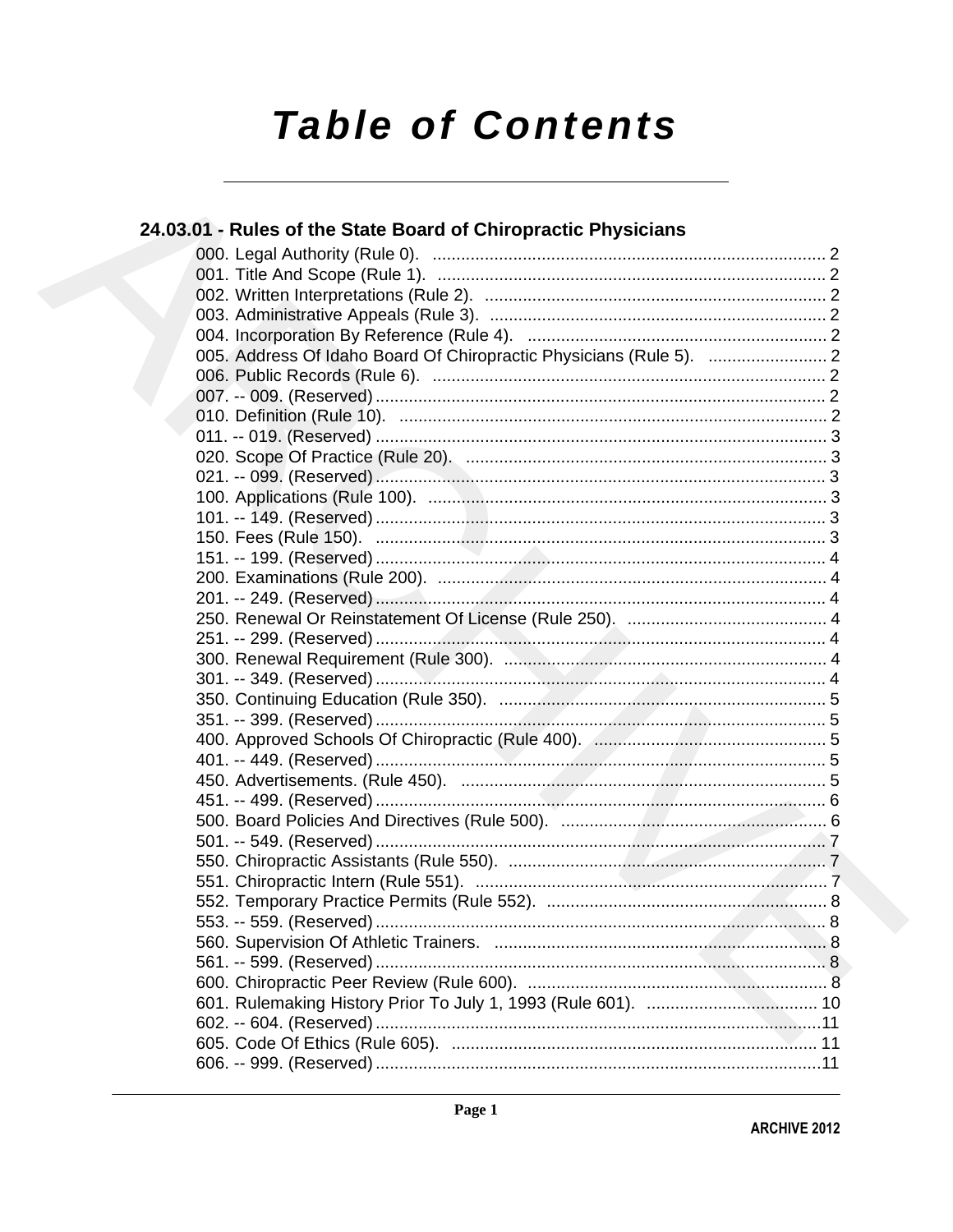# **Table of Contents**

| 24.03.01 - Rules of the State Board of Chiropractic Physicians |  |
|----------------------------------------------------------------|--|
|                                                                |  |
|                                                                |  |
|                                                                |  |
|                                                                |  |
|                                                                |  |
|                                                                |  |
|                                                                |  |
|                                                                |  |
|                                                                |  |
|                                                                |  |
|                                                                |  |
|                                                                |  |
|                                                                |  |
|                                                                |  |
|                                                                |  |
|                                                                |  |
|                                                                |  |
|                                                                |  |
|                                                                |  |
|                                                                |  |
|                                                                |  |
|                                                                |  |
|                                                                |  |
|                                                                |  |
|                                                                |  |
|                                                                |  |
|                                                                |  |
|                                                                |  |
|                                                                |  |
|                                                                |  |
|                                                                |  |
|                                                                |  |
|                                                                |  |
|                                                                |  |
|                                                                |  |
|                                                                |  |
|                                                                |  |
|                                                                |  |
|                                                                |  |
|                                                                |  |
|                                                                |  |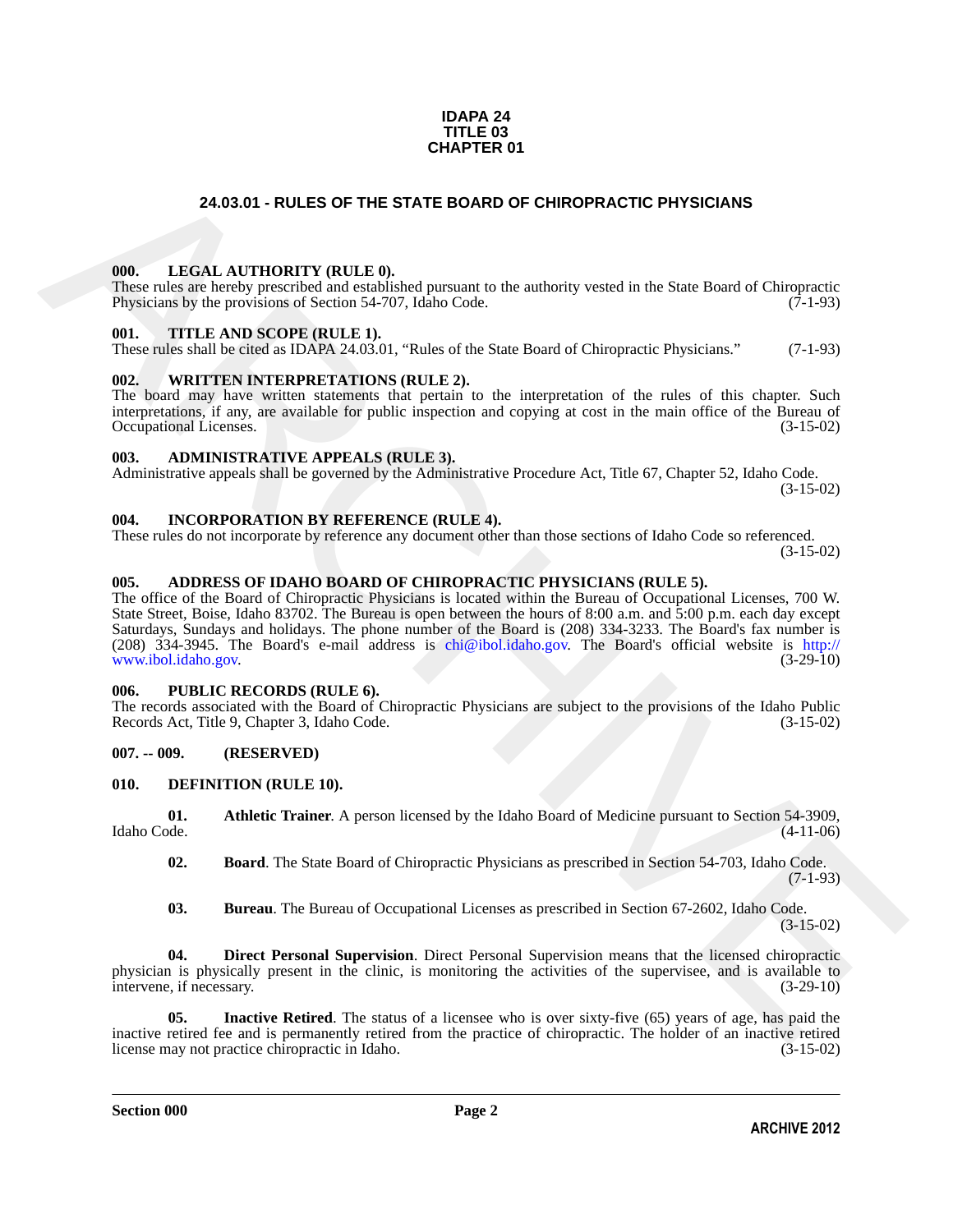#### **IDAPA 24 TITLE 03 CHAPTER 01**

#### **24.03.01 - RULES OF THE STATE BOARD OF CHIROPRACTIC PHYSICIANS**

#### <span id="page-1-1"></span><span id="page-1-0"></span>**000. LEGAL AUTHORITY (RULE 0).**

These rules are hereby prescribed and established pursuant to the authority vested in the State Board of Chiropractic Physicians by the provisions of Section 54-707, Idaho Code. (7-1-93)

#### <span id="page-1-2"></span>**001. TITLE AND SCOPE (RULE 1).**

These rules shall be cited as IDAPA 24.03.01, "Rules of the State Board of Chiropractic Physicians." (7-1-93)

#### <span id="page-1-3"></span>**002. WRITTEN INTERPRETATIONS (RULE 2).**

The board may have written statements that pertain to the interpretation of the rules of this chapter. Such interpretations, if any, are available for public inspection and copying at cost in the main office of the Bureau of Occupational Licenses. (3-15-02) Occupational Licenses.

#### <span id="page-1-4"></span>**003. ADMINISTRATIVE APPEALS (RULE 3).**

Administrative appeals shall be governed by the Administrative Procedure Act, Title 67, Chapter 52, Idaho Code. (3-15-02)

<span id="page-1-5"></span>**004. INCORPORATION BY REFERENCE (RULE 4).**

These rules do not incorporate by reference any document other than those sections of Idaho Code so referenced. (3-15-02)

#### <span id="page-1-6"></span>**005. ADDRESS OF IDAHO BOARD OF CHIROPRACTIC PHYSICIANS (RULE 5).**

**24.03.01 - RULES OF THE STATE BOARD OF [CH](mailto:chi@ibol.idaho.gov)IROPRACTIC PHYSICIANS<br>
1966.** LEGAL AITHY ORTLE D<sub>ist</sub> International technology vested in the State Bord of Chirometers<br>
There into surface procedure and earliers<br>
1970. THE AND The office of the Board of Chiropractic Physicians is located within the Bureau of Occupational Licenses, 700 W. State Street, Boise, Idaho 83702. The Bureau is open between the hours of 8:00 a.m. and 5:00 p.m. each day except Saturdays, Sundays and holidays. The phone number of the Board is (208) 334-3233. The Board's fax number is (208)  $334-3945$ . The Board's e-mail address is chi@ibol.idaho.gov. The Board's official website is http://<br>www.ibol.idaho.gov. (3-29-10) www.ibol.idaho.gov.

#### <span id="page-1-7"></span>**006. PUBLIC RECORDS (RULE 6).**

The records associated with the Board of Chiropractic Physicians are subject to the provisions of the Idaho Public Records Act, Title 9, Chapter 3, Idaho Code. (3-15-02) Records Act, Title 9, Chapter 3, Idaho Code.

#### <span id="page-1-8"></span>**007. -- 009. (RESERVED)**

#### <span id="page-1-10"></span><span id="page-1-9"></span>**010. DEFINITION (RULE 10).**

**01. Athletic Trainer**. A person licensed by the Idaho Board of Medicine pursuant to Section 54-3909, Idaho Code. (4-11-06)

- <span id="page-1-12"></span><span id="page-1-11"></span>**02. Board**. The State Board of Chiropractic Physicians as prescribed in Section 54-703, Idaho Code.  $(7-1-93)$
- <span id="page-1-15"></span><span id="page-1-14"></span><span id="page-1-13"></span>**03. Bureau**. The Bureau of Occupational Licenses as prescribed in Section 67-2602, Idaho Code. (3-15-02)

**04. Direct Personal Supervision**. Direct Personal Supervision means that the licensed chiropractic physician is physically present in the clinic, is monitoring the activities of the supervisee, and is available to intervene if necessary. intervene, if necessary.

**Inactive Retired**. The status of a licensee who is over sixty-five (65) years of age, has paid the inactive retired fee and is permanently retired from the practice of chiropractic. The holder of an inactive retired license may not practice chiropractic in Idaho. (3-15-02) license may not practice chiropractic in Idaho.

**Section 000 Page 2**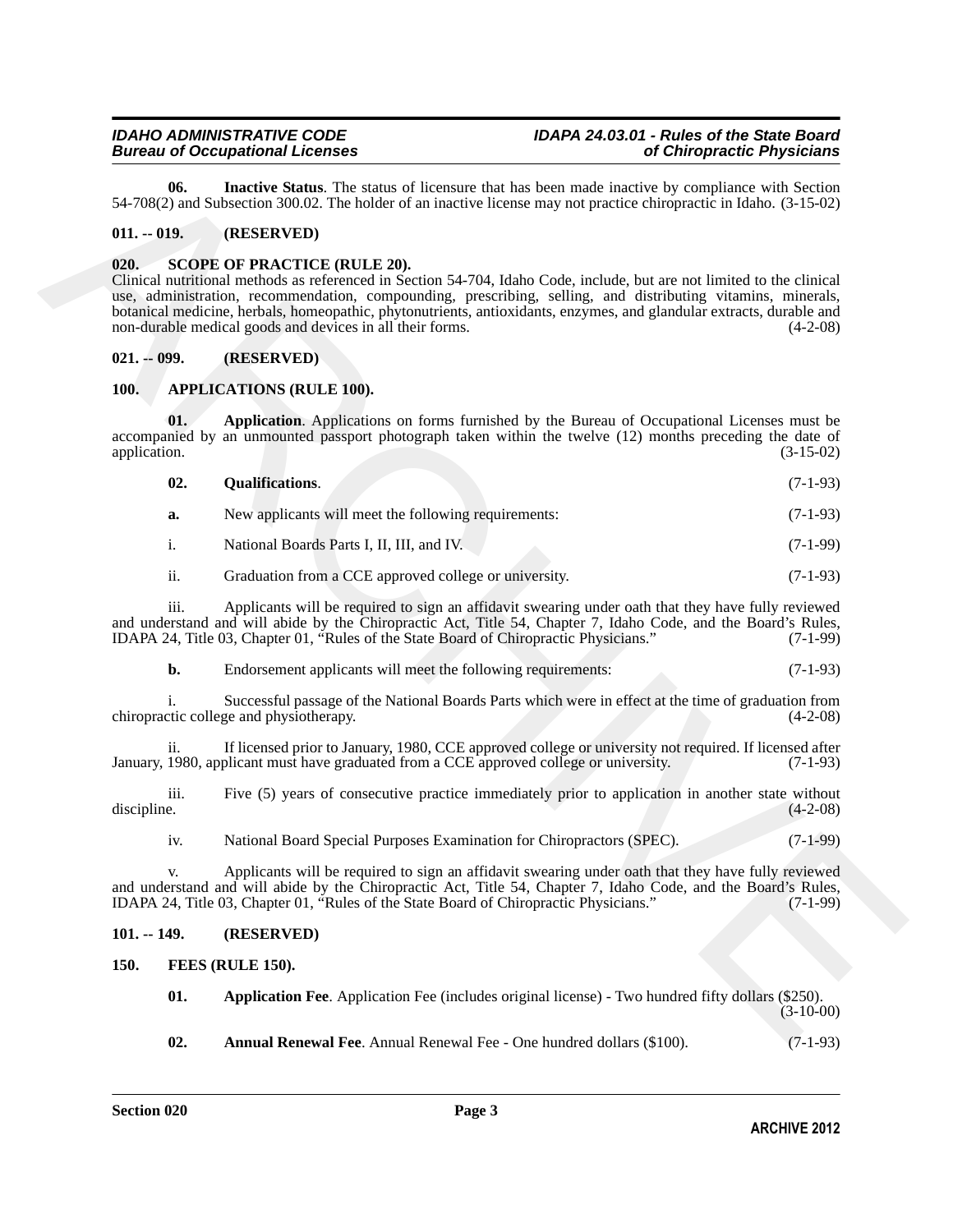### <span id="page-2-9"></span>*Bureau of Occupational Licenses of Chiropractic Physicians*

#### <span id="page-2-0"></span>**011. -- 019. (RESERVED)**

#### <span id="page-2-13"></span><span id="page-2-1"></span>**020. SCOPE OF PRACTICE (RULE 20).**

#### <span id="page-2-2"></span>**021. -- 099. (RESERVED)**

#### <span id="page-2-8"></span><span id="page-2-7"></span><span id="page-2-6"></span><span id="page-2-3"></span>**100. APPLICATIONS (RULE 100).**

|                                                                                                                                                | 06.                                                                                                                                                                                                                                                                                                                    | Inactive Status. The status of licensure that has been made inactive by compliance with Section<br>54-708(2) and Subsection 300.02. The holder of an inactive license may not practice chiropractic in Idaho. (3-15-02)                                                                                                                                                                                                                                            |             |
|------------------------------------------------------------------------------------------------------------------------------------------------|------------------------------------------------------------------------------------------------------------------------------------------------------------------------------------------------------------------------------------------------------------------------------------------------------------------------|--------------------------------------------------------------------------------------------------------------------------------------------------------------------------------------------------------------------------------------------------------------------------------------------------------------------------------------------------------------------------------------------------------------------------------------------------------------------|-------------|
| $011. - 019.$                                                                                                                                  |                                                                                                                                                                                                                                                                                                                        | (RESERVED)                                                                                                                                                                                                                                                                                                                                                                                                                                                         |             |
| 020.                                                                                                                                           |                                                                                                                                                                                                                                                                                                                        | <b>SCOPE OF PRACTICE (RULE 20).</b><br>Clinical nutritional methods as referenced in Section 54-704, Idaho Code, include, but are not limited to the clinical<br>use, administration, recommendation, compounding, prescribing, selling, and distributing vitamins, minerals,<br>botanical medicine, herbals, homeopathic, phytonutrients, antioxidants, enzymes, and glandular extracts, durable and<br>non-durable medical goods and devices in all their forms. | $(4-2-08)$  |
| $021. - 099.$                                                                                                                                  |                                                                                                                                                                                                                                                                                                                        | (RESERVED)                                                                                                                                                                                                                                                                                                                                                                                                                                                         |             |
| <b>100.</b>                                                                                                                                    |                                                                                                                                                                                                                                                                                                                        | <b>APPLICATIONS (RULE 100).</b>                                                                                                                                                                                                                                                                                                                                                                                                                                    |             |
| application.                                                                                                                                   | 01.                                                                                                                                                                                                                                                                                                                    | Application. Applications on forms furnished by the Bureau of Occupational Licenses must be<br>accompanied by an unmounted passport photograph taken within the twelve (12) months preceding the date of                                                                                                                                                                                                                                                           | $(3-15-02)$ |
|                                                                                                                                                | 02.                                                                                                                                                                                                                                                                                                                    | <b>Qualifications.</b>                                                                                                                                                                                                                                                                                                                                                                                                                                             | $(7-1-93)$  |
|                                                                                                                                                | a.                                                                                                                                                                                                                                                                                                                     | New applicants will meet the following requirements:                                                                                                                                                                                                                                                                                                                                                                                                               | $(7-1-93)$  |
|                                                                                                                                                | i.                                                                                                                                                                                                                                                                                                                     | National Boards Parts I, II, III, and IV.                                                                                                                                                                                                                                                                                                                                                                                                                          | $(7-1-99)$  |
|                                                                                                                                                | ii.                                                                                                                                                                                                                                                                                                                    | Graduation from a CCE approved college or university.                                                                                                                                                                                                                                                                                                                                                                                                              | $(7-1-93)$  |
|                                                                                                                                                | iii.<br>Applicants will be required to sign an affidavit swearing under oath that they have fully reviewed<br>and understand and will abide by the Chiropractic Act, Title 54, Chapter 7, Idaho Code, and the Board's Rules,<br>IDAPA 24, Title 03, Chapter 01, "Rules of the State Board of Chiropractic Physicians." |                                                                                                                                                                                                                                                                                                                                                                                                                                                                    | $(7-1-99)$  |
|                                                                                                                                                | b.                                                                                                                                                                                                                                                                                                                     | Endorsement applicants will meet the following requirements:                                                                                                                                                                                                                                                                                                                                                                                                       | $(7-1-93)$  |
| Successful passage of the National Boards Parts which were in effect at the time of graduation from<br>chiropractic college and physiotherapy. |                                                                                                                                                                                                                                                                                                                        | $(4-2-08)$                                                                                                                                                                                                                                                                                                                                                                                                                                                         |             |
|                                                                                                                                                | ii.                                                                                                                                                                                                                                                                                                                    | If licensed prior to January, 1980, CCE approved college or university not required. If licensed after<br>January, 1980, applicant must have graduated from a CCE approved college or university.                                                                                                                                                                                                                                                                  | $(7-1-93)$  |
| discipline.                                                                                                                                    | iii.                                                                                                                                                                                                                                                                                                                   | Five (5) years of consecutive practice immediately prior to application in another state without                                                                                                                                                                                                                                                                                                                                                                   | $(4-2-08)$  |
|                                                                                                                                                | iv.                                                                                                                                                                                                                                                                                                                    | National Board Special Purposes Examination for Chiropractors (SPEC).                                                                                                                                                                                                                                                                                                                                                                                              | $(7-1-99)$  |
|                                                                                                                                                | v.                                                                                                                                                                                                                                                                                                                     | Applicants will be required to sign an affidavit swearing under oath that they have fully reviewed<br>and understand and will abide by the Chiropractic Act, Title 54, Chapter 7, Idaho Code, and the Board's Rules,<br>IDAPA 24, Title 03, Chapter 01, "Rules of the State Board of Chiropractic Physicians."                                                                                                                                                     | $(7-1-99)$  |
| $101. - 149.$                                                                                                                                  |                                                                                                                                                                                                                                                                                                                        | (RESERVED)                                                                                                                                                                                                                                                                                                                                                                                                                                                         |             |
| <b>150.</b>                                                                                                                                    |                                                                                                                                                                                                                                                                                                                        | FEES (RULE 150).                                                                                                                                                                                                                                                                                                                                                                                                                                                   |             |
|                                                                                                                                                | 01.                                                                                                                                                                                                                                                                                                                    | Application Fee. Application Fee (includes original license) - Two hundred fifty dollars (\$250).                                                                                                                                                                                                                                                                                                                                                                  | $(3-10-00)$ |
|                                                                                                                                                | 02.                                                                                                                                                                                                                                                                                                                    | <b>Annual Renewal Fee</b> Annual Renewal Fee - One hundred dollars (\$100)                                                                                                                                                                                                                                                                                                                                                                                         | $(7-1-93)$  |

#### <span id="page-2-4"></span>**101. -- 149. (RESERVED)**

- <span id="page-2-12"></span><span id="page-2-11"></span><span id="page-2-10"></span><span id="page-2-5"></span>**150. FEES (RULE 150).**
	- **01. Application Fee**. Application Fee (includes original license) Two hundred fifty dollars (\$250). (3-10-00)
	- **02. Annual Renewal Fee**. Annual Renewal Fee One hundred dollars (\$100). (7-1-93)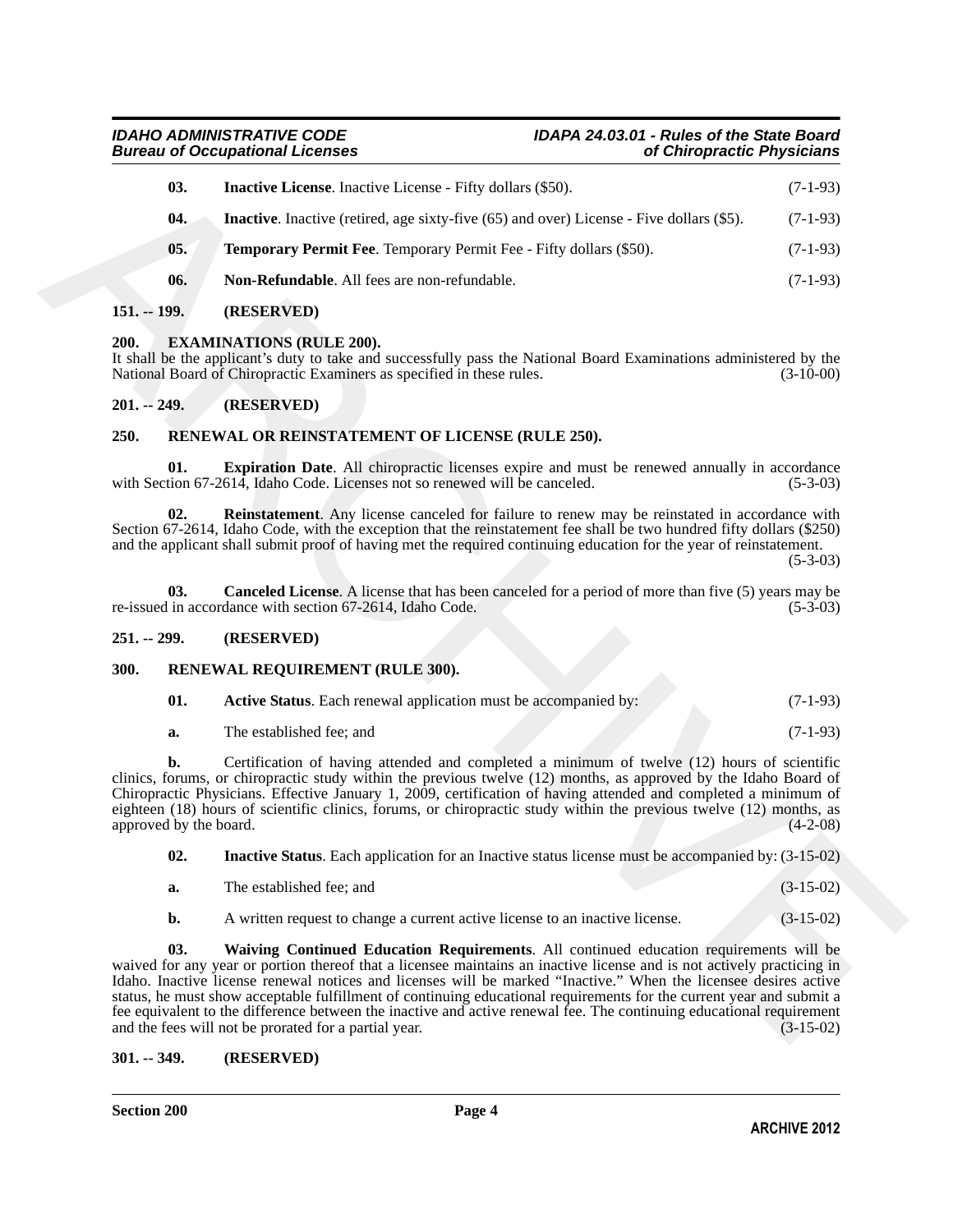*Bureau of Occupational Licenses of Chiropractic Physicians*

## <span id="page-3-9"></span><span id="page-3-8"></span>*IDAHO ADMINISTRATIVE CODE IDAPA 24.03.01 - Rules of the State Board*

|                        | 03. | <b>Inactive License.</b> Inactive License - Fifty dollars (\$50).                                                                                                                                                                                                                                                                                                                                                                                                                                                                                                                                                                             | $(7-1-93)$  |
|------------------------|-----|-----------------------------------------------------------------------------------------------------------------------------------------------------------------------------------------------------------------------------------------------------------------------------------------------------------------------------------------------------------------------------------------------------------------------------------------------------------------------------------------------------------------------------------------------------------------------------------------------------------------------------------------------|-------------|
|                        | 04. | <b>Inactive.</b> Inactive (retired, age sixty-five (65) and over) License - Five dollars (\$5).                                                                                                                                                                                                                                                                                                                                                                                                                                                                                                                                               | $(7-1-93)$  |
|                        | 05. | <b>Temporary Permit Fee.</b> Temporary Permit Fee - Fifty dollars (\$50).                                                                                                                                                                                                                                                                                                                                                                                                                                                                                                                                                                     | $(7-1-93)$  |
|                        | 06. | Non-Refundable. All fees are non-refundable.                                                                                                                                                                                                                                                                                                                                                                                                                                                                                                                                                                                                  | $(7-1-93)$  |
| $151. - 199.$          |     | (RESERVED)                                                                                                                                                                                                                                                                                                                                                                                                                                                                                                                                                                                                                                    |             |
| 200.                   |     | <b>EXAMINATIONS (RULE 200).</b><br>It shall be the applicant's duty to take and successfully pass the National Board Examinations administered by the<br>National Board of Chiropractic Examiners as specified in these rules.                                                                                                                                                                                                                                                                                                                                                                                                                | $(3-10-00)$ |
| $201. - 249.$          |     | (RESERVED)                                                                                                                                                                                                                                                                                                                                                                                                                                                                                                                                                                                                                                    |             |
| 250.                   |     | RENEWAL OR REINSTATEMENT OF LICENSE (RULE 250).                                                                                                                                                                                                                                                                                                                                                                                                                                                                                                                                                                                               |             |
|                        | 01. | <b>Expiration Date.</b> All chiropractic licenses expire and must be renewed annually in accordance<br>with Section 67-2614, Idaho Code. Licenses not so renewed will be canceled.                                                                                                                                                                                                                                                                                                                                                                                                                                                            | $(5-3-03)$  |
|                        | 02. | <b>Reinstatement</b> . Any license canceled for failure to renew may be reinstated in accordance with<br>Section 67-2614, Idaho Code, with the exception that the reinstatement fee shall be two hundred fifty dollars (\$250)<br>and the applicant shall submit proof of having met the required continuing education for the year of reinstatement.                                                                                                                                                                                                                                                                                         | $(5-3-03)$  |
|                        | 03. | <b>Canceled License.</b> A license that has been canceled for a period of more than five (5) years may be<br>re-issued in accordance with section 67-2614, Idaho Code.                                                                                                                                                                                                                                                                                                                                                                                                                                                                        | $(5-3-03)$  |
| $251. - 299.$          |     | (RESERVED)                                                                                                                                                                                                                                                                                                                                                                                                                                                                                                                                                                                                                                    |             |
| 300.                   |     | RENEWAL REQUIREMENT (RULE 300).                                                                                                                                                                                                                                                                                                                                                                                                                                                                                                                                                                                                               |             |
|                        | 01. | Active Status. Each renewal application must be accompanied by:                                                                                                                                                                                                                                                                                                                                                                                                                                                                                                                                                                               | $(7-1-93)$  |
|                        | a.  | The established fee; and                                                                                                                                                                                                                                                                                                                                                                                                                                                                                                                                                                                                                      | $(7-1-93)$  |
| approved by the board. | b.  | Certification of having attended and completed a minimum of twelve (12) hours of scientific<br>clinics, forums, or chiropractic study within the previous twelve (12) months, as approved by the Idaho Board of<br>Chiropractic Physicians. Effective January 1, 2009, certification of having attended and completed a minimum of<br>eighteen (18) hours of scientific clinics, forums, or chiropractic study within the previous twelve (12) months, as                                                                                                                                                                                     | $(4-2-08)$  |
|                        | 02. | <b>Inactive Status.</b> Each application for an Inactive status license must be accompanied by: (3-15-02)                                                                                                                                                                                                                                                                                                                                                                                                                                                                                                                                     |             |
|                        | a.  | The established fee; and                                                                                                                                                                                                                                                                                                                                                                                                                                                                                                                                                                                                                      | $(3-15-02)$ |
|                        | b.  | A written request to change a current active license to an inactive license.                                                                                                                                                                                                                                                                                                                                                                                                                                                                                                                                                                  | $(3-15-02)$ |
|                        | 03. | Waiving Continued Education Requirements. All continued education requirements will be<br>waived for any year or portion thereof that a licensee maintains an inactive license and is not actively practicing in<br>Idaho. Inactive license renewal notices and licenses will be marked "Inactive." When the licensee desires active<br>status, he must show acceptable fulfillment of continuing educational requirements for the current year and submit a<br>fee equivalent to the difference between the inactive and active renewal fee. The continuing educational requirement<br>and the fees will not be prorated for a partial year. | $(3-15-02)$ |

#### <span id="page-3-11"></span><span id="page-3-10"></span><span id="page-3-0"></span>**151. -- 199. (RESERVED)**

#### <span id="page-3-7"></span><span id="page-3-1"></span>**200. EXAMINATIONS (RULE 200).**

#### <span id="page-3-2"></span>**201. -- 249. (RESERVED)**

#### <span id="page-3-15"></span><span id="page-3-14"></span><span id="page-3-12"></span><span id="page-3-3"></span>**250. RENEWAL OR REINSTATEMENT OF LICENSE (RULE 250).**

#### <span id="page-3-13"></span><span id="page-3-4"></span>**251. -- 299. (RESERVED)**

#### <span id="page-3-5"></span>**300. RENEWAL REQUIREMENT (RULE 300).**

<span id="page-3-17"></span><span id="page-3-16"></span>

| - 01. | <b>Active Status.</b> Each renewal application must be accompanied by: | $(7-1-93)$ |
|-------|------------------------------------------------------------------------|------------|
|-------|------------------------------------------------------------------------|------------|

|  | The established fee: and |  | $(7-1-93)$ |
|--|--------------------------|--|------------|
|--|--------------------------|--|------------|

<span id="page-3-19"></span><span id="page-3-18"></span>

| а. | The established fee: and |  |  | $(3-15-02)$ |  |  |
|----|--------------------------|--|--|-------------|--|--|
|----|--------------------------|--|--|-------------|--|--|

#### <span id="page-3-6"></span>**301. -- 349. (RESERVED)**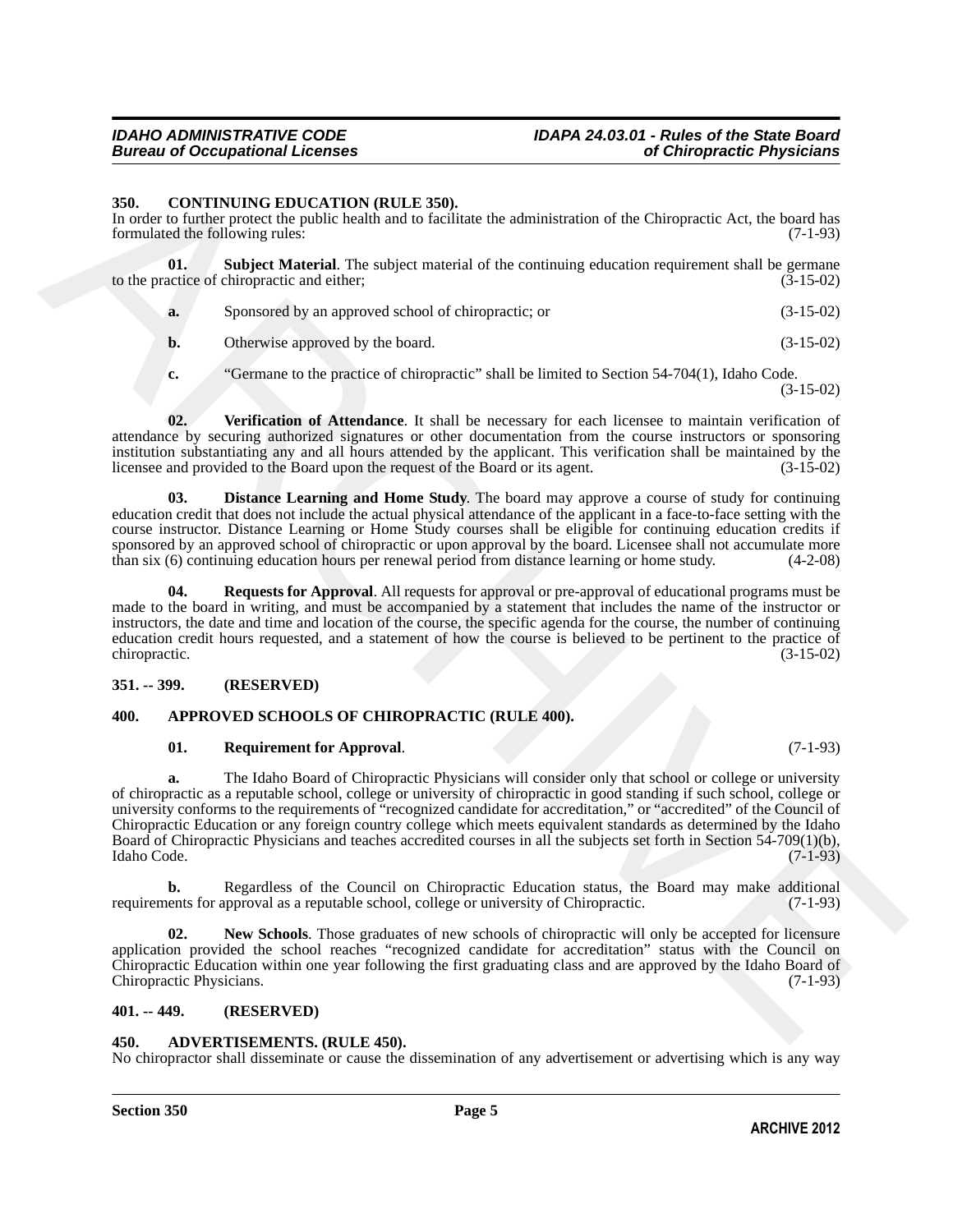### *Bureau of Occupational Licenses*

#### <span id="page-4-9"></span><span id="page-4-0"></span>**350. CONTINUING EDUCATION (RULE 350).**

In order to further protect the public health and to facilitate the administration of the Chiropractic Act, the board has formulated the following rules: (7-1-93)

**01. Subject Material**. The subject material of the continuing education requirement shall be germane actice of chiropractic and either: (3-15-02) to the practice of chiropractic and either;

<span id="page-4-12"></span>

| a. | Sponsored by an approved school of chiropractic; or | $(3-15-02)$ |
|----|-----------------------------------------------------|-------------|
|----|-----------------------------------------------------|-------------|

**b.** Otherwise approved by the board. (3-15-02)

<span id="page-4-13"></span>**c.** "Germane to the practice of chiropractic" shall be limited to Section 54-704(1), Idaho Code. (3-15-02)

**02. Verification of Attendance**. It shall be necessary for each licensee to maintain verification of attendance by securing authorized signatures or other documentation from the course instructors or sponsoring institution substantiating any and all hours attended by the applicant. This verification shall be maintained by the licensee and provided to the Board upon the request of the Board or its agent. (3-15-02)

<span id="page-4-10"></span>**03. Distance Learning and Home Study**. The board may approve a course of study for continuing education credit that does not include the actual physical attendance of the applicant in a face-to-face setting with the course instructor. Distance Learning or Home Study courses shall be eligible for continuing education credits if sponsored by an approved school of chiropractic or upon approval by the board. Licensee shall not accumulate more than six (6) continuing education hours per renewal period from distance learning or home study. (4-2-08)

<span id="page-4-11"></span>**04. Requests for Approval**. All requests for approval or pre-approval of educational programs must be made to the board in writing, and must be accompanied by a statement that includes the name of the instructor or instructors, the date and time and location of the course, the specific agenda for the course, the number of continuing education credit hours requested, and a statement of how the course is believed to be pertinent to the practice of chiropractic. (3-15-02)

#### <span id="page-4-1"></span>**351. -- 399. (RESERVED)**

#### <span id="page-4-2"></span>**400. APPROVED SCHOOLS OF CHIROPRACTIC (RULE 400).**

#### <span id="page-4-8"></span><span id="page-4-6"></span>**01. Requirement for Approval**. (7-1-93)

**SSI.** CONTINUENT EDICATION (RILE ASI).<br>
In carbon function of the Chinese the School and the School and Chinese interest and the Chinese time of the Chinese Chinese Chinese Chinese Chinese Chinese Chinese Chinese Chinese **a.** The Idaho Board of Chiropractic Physicians will consider only that school or college or university of chiropractic as a reputable school, college or university of chiropractic in good standing if such school, college or university conforms to the requirements of "recognized candidate for accreditation," or "accredited" of the Council of Chiropractic Education or any foreign country college which meets equivalent standards as determined by the Idaho Board of Chiropractic Physicians and teaches accredited courses in all the subjects set forth in Section 54-709(1)(b), Idaho Code. (7-1-93) Idaho Code. (7-1-93)

**b.** Regardless of the Council on Chiropractic Education status, the Board may make additional ents for approval as a reputable school, college or university of Chiropractic. (7-1-93) requirements for approval as a reputable school, college or university of Chiropractic.

<span id="page-4-7"></span>**02. New Schools**. Those graduates of new schools of chiropractic will only be accepted for licensure application provided the school reaches "recognized candidate for accreditation" status with the Council on Chiropractic Education within one year following the first graduating class and are approved by the Idaho Board of Chiropractic Physicians. (7-1-93)

#### <span id="page-4-3"></span>**401. -- 449. (RESERVED)**

#### <span id="page-4-5"></span><span id="page-4-4"></span>**450. ADVERTISEMENTS. (RULE 450).**

No chiropractor shall disseminate or cause the dissemination of any advertisement or advertising which is any way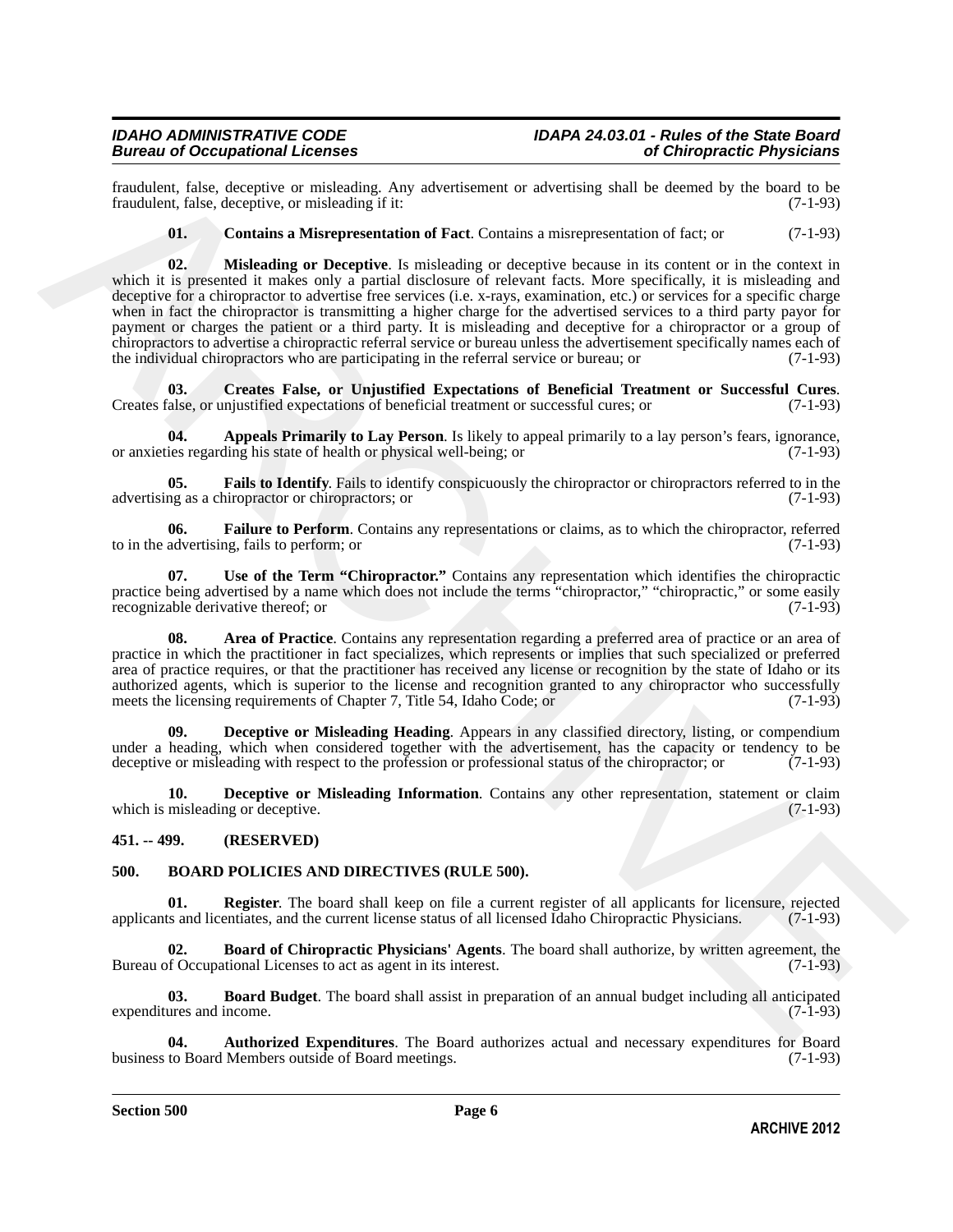fraudulent, false, deceptive or misleading. Any advertisement or advertising shall be deemed by the board to be fraudulent, false, deceptive, or misleading if it:

<span id="page-5-10"></span><span id="page-5-4"></span>**01. Contains a Misrepresentation of Fact**. Contains a misrepresentation of fact; or (7-1-93)

Frankfurt, fake, decretive are misleading Arty advantions or advantiating dual be decreted by the board by the board by the board by the board by the board of Eucklin (Fig. Contains a Microprocentation of Eucklin contains **02. Misleading or Deceptive**. Is misleading or deceptive because in its content or in the context in which it is presented it makes only a partial disclosure of relevant facts. More specifically, it is misleading and deceptive for a chiropractor to advertise free services (i.e. x-rays, examination, etc.) or services for a specific charge when in fact the chiropractor is transmitting a higher charge for the advertised services to a third party payor for payment or charges the patient or a third party. It is misleading and deceptive for a chiropractor or a group of chiropractors to advertise a chiropractic referral service or bureau unless the advertisement specifically names each of the individual chiropractors who are participating in the referral service or bureau; or (7-1-93)

<span id="page-5-5"></span>**03. Creates False, or Unjustified Expectations of Beneficial Treatment or Successful Cures**. Creates false, or unjustified expectations of beneficial treatment or successful cures; or (7-1-93)

<span id="page-5-2"></span>**04.** Appeals Primarily to Lay Person. Is likely to appeal primarily to a lay person's fears, ignorance, ies regarding his state of health or physical well-being; or or anxieties regarding his state of health or physical well-being; or

<span id="page-5-8"></span>**05. Fails to Identify**. Fails to identify conspicuously the chiropractor or chiropractors referred to in the ng as a chiropractor or chiropractors; or  $(7-1-93)$ advertising as a chiropractor or chiropractors; or

<span id="page-5-9"></span>**06. Failure to Perform**. Contains any representations or claims, as to which the chiropractor, referred to in the advertising, fails to perform; or (7-1-93)

<span id="page-5-11"></span>**07. Use of the Term "Chiropractor."** Contains any representation which identifies the chiropractic practice being advertised by a name which does not include the terms "chiropractor," "chiropractic," or some easily recognizable derivative thereof; or (7-1-93)

<span id="page-5-3"></span>**08. Area of Practice**. Contains any representation regarding a preferred area of practice or an area of practice in which the practitioner in fact specializes, which represents or implies that such specialized or preferred area of practice requires, or that the practitioner has received any license or recognition by the state of Idaho or its authorized agents, which is superior to the license and recognition granted to any chiropractor who successfully meets the licensing requirements of Chapter 7, Title 54, Idaho Code; or (7-1-93)

<span id="page-5-6"></span>**09. Deceptive or Misleading Heading**. Appears in any classified directory, listing, or compendium under a heading, which when considered together with the advertisement, has the capacity or tendency to be deceptive or misleading with respect to the profession or professional status of the chiropractor; or (7-1-93) deceptive or misleading with respect to the profession or professional status of the chiropractor; or

<span id="page-5-7"></span>**10. Deceptive or Misleading Information**. Contains any other representation, statement or claim misleading or deceptive. (7-1-93) which is misleading or deceptive.

<span id="page-5-0"></span>**451. -- 499. (RESERVED)**

#### <span id="page-5-12"></span><span id="page-5-1"></span>**500. BOARD POLICIES AND DIRECTIVES (RULE 500).**

<span id="page-5-16"></span>**01. Register**. The board shall keep on file a current register of all applicants for licensure, rejected applicants and licentiates, and the current license status of all licensed Idaho Chiropractic Physicians. (7-1-93)

<span id="page-5-15"></span>**02. Board of Chiropractic Physicians' Agents**. The board shall authorize, by written agreement, the of Occupational Licenses to act as agent in its interest. (7-1-93) Bureau of Occupational Licenses to act as agent in its interest.

<span id="page-5-14"></span>**03. Board Budget**. The board shall assist in preparation of an annual budget including all anticipated ures and income. (7-1-93) expenditures and income.

<span id="page-5-13"></span>**04.** Authorized Expenditures. The Board authorizes actual and necessary expenditures for Board to Board Members outside of Board meetings. (7-1-93) business to Board Members outside of Board meetings.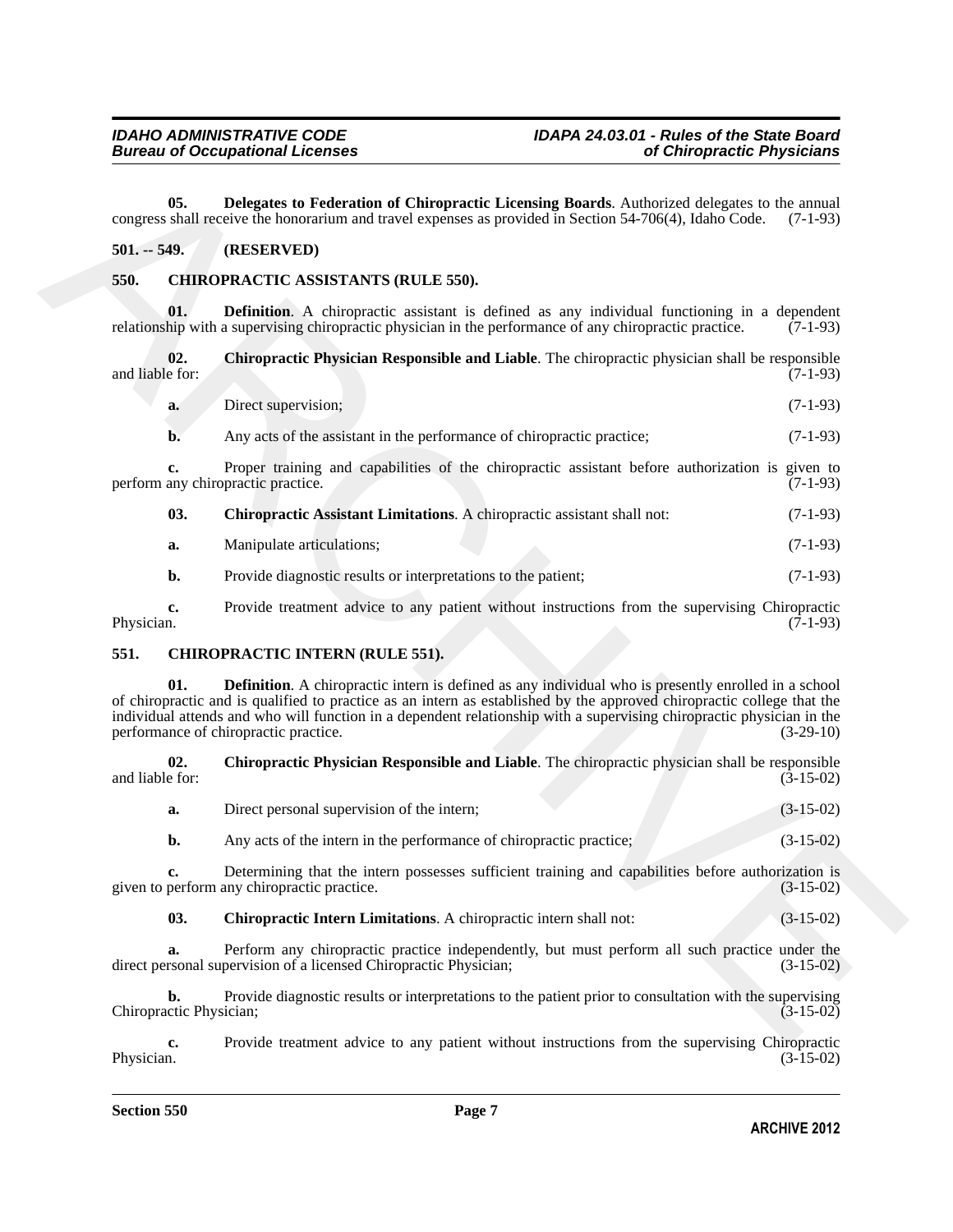<span id="page-6-3"></span>**05. Delegates to Federation of Chiropractic Licensing Boards**. Authorized delegates to the annual congress shall receive the honorarium and travel expenses as provided in Section 54-706(4), Idaho Code. (7-1-93)

#### <span id="page-6-0"></span>**501. -- 549. (RESERVED)**

### <span id="page-6-4"></span><span id="page-6-1"></span>**550. CHIROPRACTIC ASSISTANTS (RULE 550).**

<span id="page-6-7"></span>**01. Definition**. A chiropractic assistant is defined as any individual functioning in a dependent relationship with a supervising chiropractic physician in the performance of any chiropractic practice. (7-1-93)

**02.** Chiropractic Physician Responsible and Liable. The chiropractic physician shall be responsible and liable for: (7-1-93) and liable for: (7-1-93)

<span id="page-6-6"></span>

| a. | Direct supervision; | $(7-1-93)$ |  |
|----|---------------------|------------|--|
|    |                     |            |  |

**b.** Any acts of the assistant in the performance of chiropractic practice; (7-1-93)

**c.** Proper training and capabilities of the chiropractic assistant before authorization is given to any chiropractic practice. (7-1-93) perform any chiropractic practice.

<span id="page-6-5"></span>

| 03. | <b>Chiropractic Assistant Limitations.</b> A chiropractic assistant shall not: | $(7-1-93)$ |
|-----|--------------------------------------------------------------------------------|------------|
|-----|--------------------------------------------------------------------------------|------------|

| a. | Manipulate articulations: |  | $(7-1-93)$ |
|----|---------------------------|--|------------|
|----|---------------------------|--|------------|

<span id="page-6-11"></span>**b.** Provide diagnostic results or interpretations to the patient; (7-1-93)

**c.** Provide treatment advice to any patient without instructions from the supervising Chiropractic Physician. (7-1-93) Physician. (7-1-93)

#### <span id="page-6-8"></span><span id="page-6-2"></span>**551. CHIROPRACTIC INTERN (RULE 551).**

**C5. Delegates to Peteration of Chiremeteric Licensing Bounds.** Andweived delegates to he mental<br>
S91,  $\approx$  **S89, CRESCINNTS** (RULE S49),<br> **S81. CRESCINNEY (RESORTANTS)**<br>
S81. **CRESCINNEY (RESORTANTS)**<br>
S61. **CRESCI Definition**. A chiropractic intern is defined as any individual who is presently enrolled in a school of chiropractic and is qualified to practice as an intern as established by the approved chiropractic college that the individual attends and who will function in a dependent relationship with a supervising chiropractic physician in the performance of chiropractic practice.

**02.** Chiropractic Physician Responsible and Liable. The chiropractic physician shall be responsible e for: (3-15-02) and liable for:

<span id="page-6-10"></span>

| Direct personal supervision of the intern; |  | $(3-15-02)$ |
|--------------------------------------------|--|-------------|
|                                            |  |             |

**b.** Any acts of the intern in the performance of chiropractic practice; (3-15-02)

**c.** Determining that the intern possesses sufficient training and capabilities before authorization is perform any chiropractic practice. (3-15-02) given to perform any chiropractic practice.

<span id="page-6-9"></span>

| 03. | <b>Chiropractic Intern Limitations.</b> A chiropractic intern shall not: | $(3-15-02)$ |
|-----|--------------------------------------------------------------------------|-------------|
|-----|--------------------------------------------------------------------------|-------------|

**a.** Perform any chiropractic practice independently, but must perform all such practice under the rsonal supervision of a licensed Chiropractic Physician; (3-15-02) direct personal supervision of a licensed Chiropractic Physician;

**b.** Provide diagnostic results or interpretations to the patient prior to consultation with the supervising ctic Physician: (3-15-02) Chiropractic Physician;

**c.** Provide treatment advice to any patient without instructions from the supervising Chiropractic Physician. (3-15-02) Physician. (3-15-02)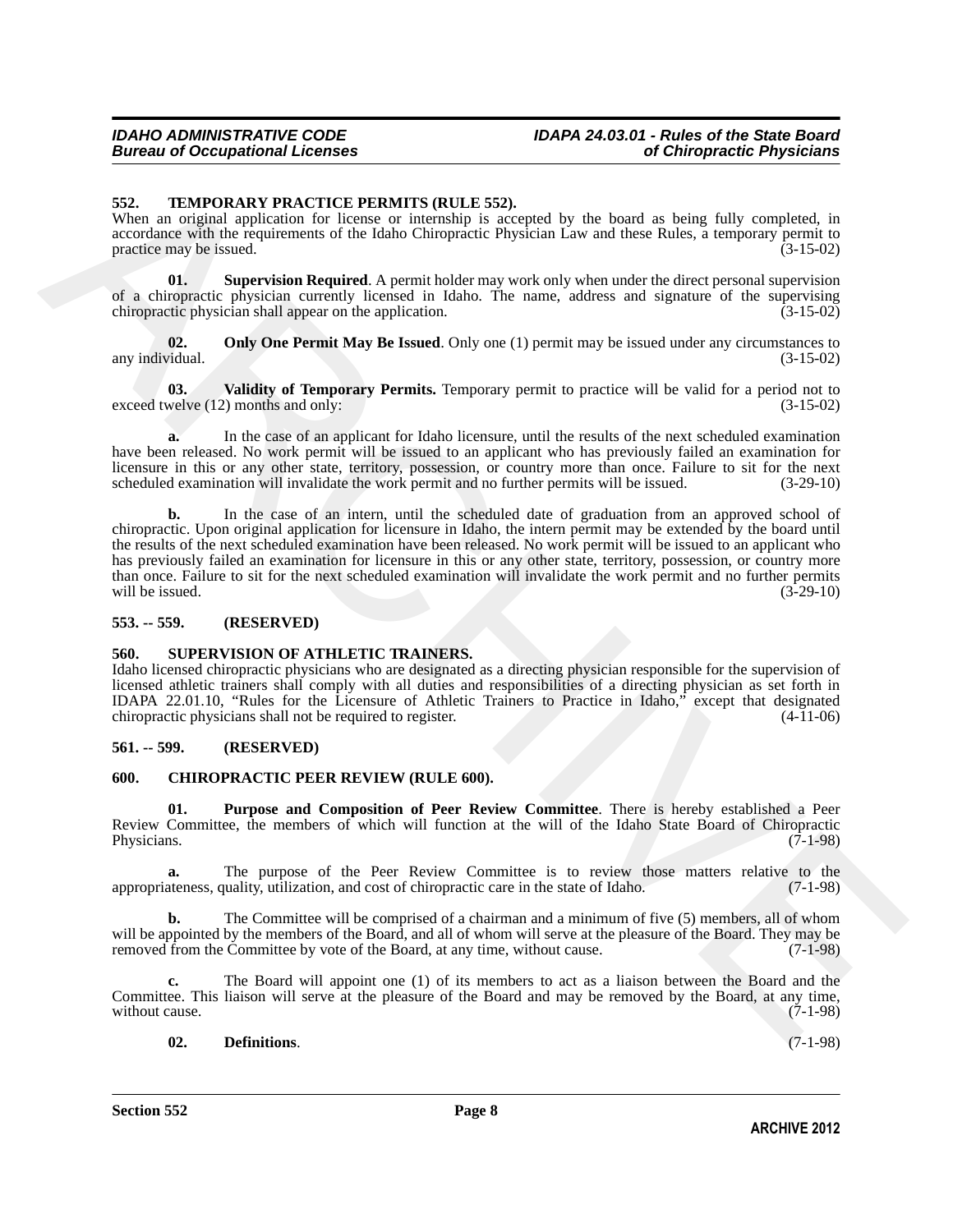#### <span id="page-7-9"></span><span id="page-7-0"></span>**552. TEMPORARY PRACTICE PERMITS (RULE 552).**

When an original application for license or internship is accepted by the board as being fully completed, in accordance with the requirements of the Idaho Chiropractic Physician Law and these Rules, a temporary permit to practice may be issued. (3-15-02)

<span id="page-7-11"></span>**01.** Supervision Required. A permit holder may work only when under the direct personal supervision of a chiropractic physician currently licensed in Idaho. The name, address and signature of the supervising chiropractic physician shall appear on the application. (3-15-02)

<span id="page-7-10"></span>**02. Only One Permit May Be Issued**. Only one (1) permit may be issued under any circumstances to *d*idual. (3-15-02) any individual.

<span id="page-7-12"></span>**03. Validity of Temporary Permits.** Temporary permit to practice will be valid for a period not to exceed twelve (12) months and only: (3-15-02)

**a.** In the case of an applicant for Idaho licensure, until the results of the next scheduled examination have been released. No work permit will be issued to an applicant who has previously failed an examination for licensure in this or any other state, territory, possession, or country more than once. Failure to sit for the next scheduled examination will invalidate the work permit and no further permits will be issued.  $(3-29-10)$ scheduled examination will invalidate the work permit and no further permits will be issued.

**SS2.** TEMPORA IN PRACTICE PERMITS (RILE 552), readed by the load of scheme of the search in control to the properties of the control in the search in the search is a search in the search in the search in the search in th **b.** In the case of an intern, until the scheduled date of graduation from an approved school of chiropractic. Upon original application for licensure in Idaho, the intern permit may be extended by the board until the results of the next scheduled examination have been released. No work permit will be issued to an applicant who has previously failed an examination for licensure in this or any other state, territory, possession, or country more than once. Failure to sit for the next scheduled examination will invalidate the work permit and no further permits will be issued. (3-29-10) will be issued.  $(3-29-10)$ 

#### <span id="page-7-1"></span>**553. -- 559. (RESERVED)**

#### <span id="page-7-8"></span><span id="page-7-2"></span>**560. SUPERVISION OF ATHLETIC TRAINERS.**

Idaho licensed chiropractic physicians who are designated as a directing physician responsible for the supervision of licensed athletic trainers shall comply with all duties and responsibilities of a directing physician as set forth in IDAPA 22.01.10, "Rules for the Licensure of Athletic Trainers to Practice in Idaho," except that designated chiropractic physicians shall not be required to register.

#### <span id="page-7-3"></span>**561. -- 599. (RESERVED)**

#### <span id="page-7-5"></span><span id="page-7-4"></span>**600. CHIROPRACTIC PEER REVIEW (RULE 600).**

<span id="page-7-7"></span>**01. Purpose and Composition of Peer Review Committee**. There is hereby established a Peer Review Committee, the members of which will function at the will of the Idaho State Board of Chiropractic Physicians. (7-1-98)

**a.** The purpose of the Peer Review Committee is to review those matters relative to the ateness quality utilization, and cost of chiropractic care in the state of Idaho. (7-1-98) appropriateness, quality, utilization, and cost of chiropractic care in the state of Idaho.

**b.** The Committee will be comprised of a chairman and a minimum of five (5) members, all of whom will be appointed by the members of the Board, and all of whom will serve at the pleasure of the Board. They may be removed from the Committee by vote of the Board, at any time, without cause. (7-1-98) removed from the Committee by vote of the Board, at any time, without cause.

**c.** The Board will appoint one (1) of its members to act as a liaison between the Board and the Committee. This liaison will serve at the pleasure of the Board and may be removed by the Board, at any time, without cause. (7-1-98)

#### <span id="page-7-6"></span>**02. Definitions**. (7-1-98)

**Section 552 Page 8**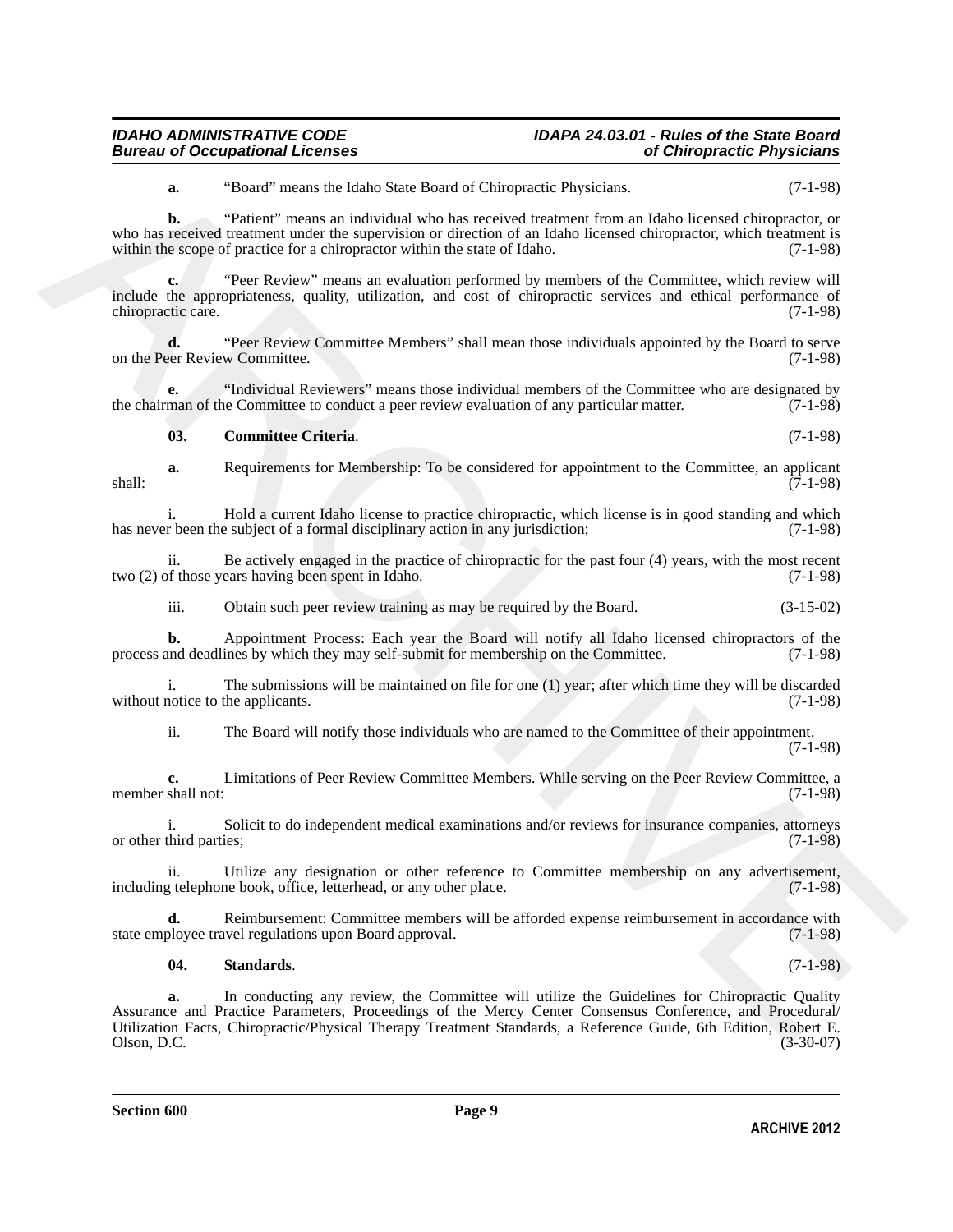#### *IDAHO ADMINISTRATIVE CODE IDAPA 24.03.01 - Rules of the State Board Bureau of Occupational Licenses of Chiropractic Physicians*

**a.** "Board" means the Idaho State Board of Chiropractic Physicians. (7-1-98)

**b.** "Patient" means an individual who has received treatment from an Idaho licensed chiropractor, or who has received treatment under the supervision or direction of an Idaho licensed chiropractor, which treatment is within the scope of practice for a chiropractor within the state of Idaho. (7-1-98)

**c.** "Peer Review" means an evaluation performed by members of the Committee, which review will include the appropriateness, quality, utilization, and cost of chiropractic services and ethical performance of chiropractic care. (7-1-98)

**d.** "Peer Review Committee Members" shall mean those individuals appointed by the Board to serve eer Review Committee. (7-1-98) on the Peer Review Committee.

**e.** "Individual Reviewers" means those individual members of the Committee who are designated by the chairman of the Committee to conduct a peer review evaluation of any particular matter. (7-1-98)

#### <span id="page-8-0"></span>**03. Committee Criteria**. (7-1-98)

**a.** Requirements for Membership: To be considered for appointment to the Committee, an applicant (7-1-98) shall: (7-1-98)

i. Hold a current Idaho license to practice chiropractic, which license is in good standing and which r been the subject of a formal disciplinary action in any jurisdiction; (7-1-98) has never been the subject of a formal disciplinary action in any jurisdiction;

ii. Be actively engaged in the practice of chiropractic for the past four  $(4)$  years, with the most recent of those years having been spent in Idaho.  $(7-1-98)$ two  $(2)$  of those years having been spent in Idaho.

iii. Obtain such peer review training as may be required by the Board. (3-15-02)

**b.** Appointment Process: Each year the Board will notify all Idaho licensed chiropractors of the and deadlines by which they may self-submit for membership on the Committee. (7-1-98) process and deadlines by which they may self-submit for membership on the Committee.

i. The submissions will be maintained on file for one (1) year; after which time they will be discarded without notice to the applicants. (7-1-98)

ii. The Board will notify those individuals who are named to the Committee of their appointment.

(7-1-98)

**c.** Limitations of Peer Review Committee Members. While serving on the Peer Review Committee, a member shall not:

i. Solicit to do independent medical examinations and/or reviews for insurance companies, attorneys or other third parties; (7-1-98)

ii. Utilize any designation or other reference to Committee membership on any advertisement, it depends to the place. (7-1-98) including telephone book, office, letterhead, or any other place.

**d.** Reimbursement: Committee members will be afforded expense reimbursement in accordance with state employee travel regulations upon Board approval. (7-1-98)

#### <span id="page-8-1"></span>**04. Standards**. (7-1-98)

**EXAMPLE Theorem for the bottom** of Chiengardic Physicians Total Sciences<br>
We has a "Bottom" merecan relationship who has restricted the matrician line of the science of the science of the science of the science of the sc **a.** In conducting any review, the Committee will utilize the Guidelines for Chiropractic Quality Assurance and Practice Parameters, Proceedings of the Mercy Center Consensus Conference, and Procedural/ Utilization Facts, Chiropractic/Physical Therapy Treatment Standards, a Reference Guide, 6th Edition, Robert E. Olson, D.C. (3-30-07)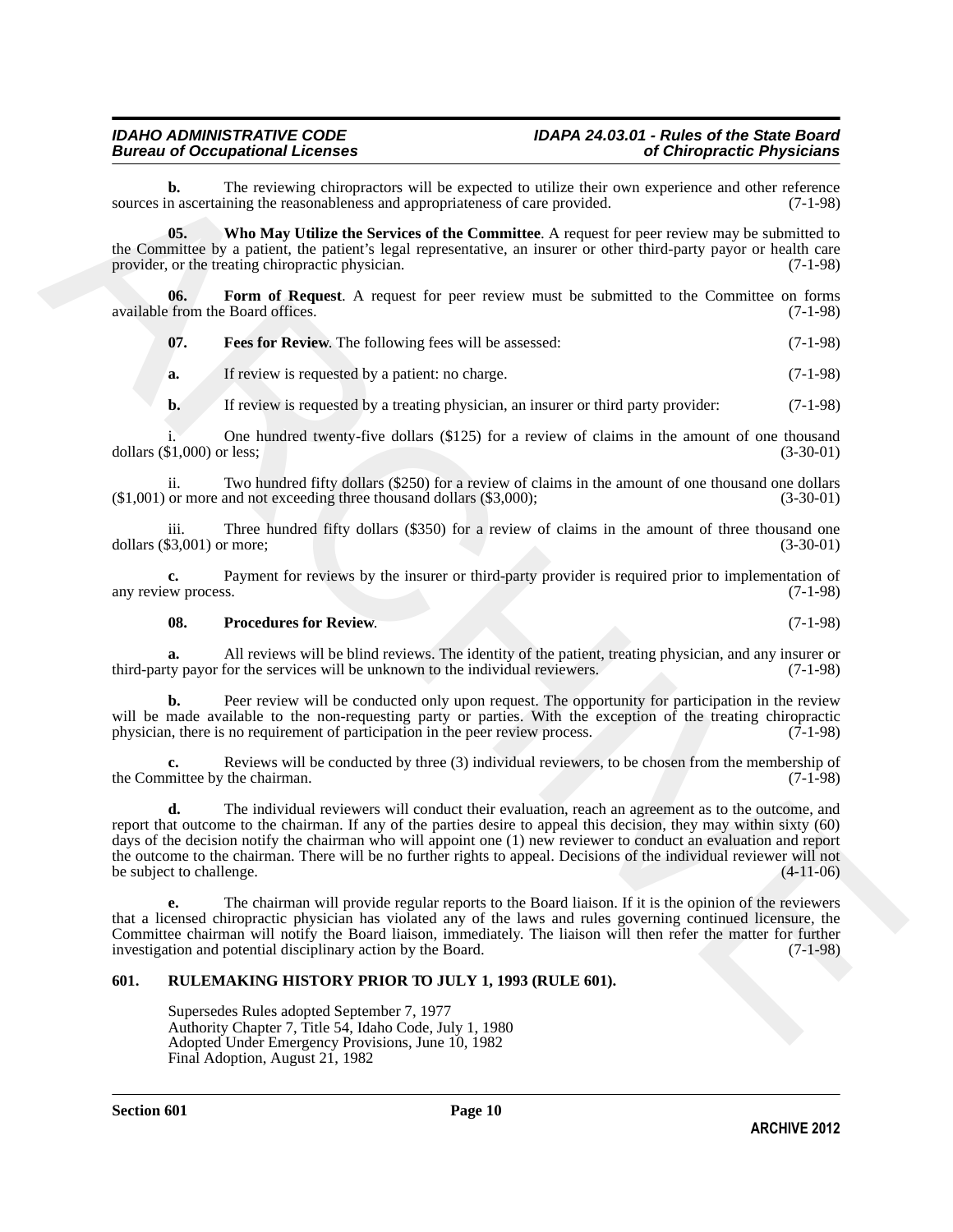#### *IDAHO ADMINISTRATIVE CODE IDAPA 24.03.01 - Rules of the State Board Bureau of Occupational Licenses of Chiropractic Physicians*

**b.** The reviewing chiropractors will be expected to utilize their own experience and other reference n ascertaining the reasonableness and appropriateness of care provided. (7-1-98) sources in ascertaining the reasonableness and appropriateness of care provided.

<span id="page-9-4"></span>**05. Who May Utilize the Services of the Committee**. A request for peer review may be submitted to the Committee by a patient, the patient's legal representative, an insurer or other third-party payor or health care provider, or the treating chiropractic physician. (7-1-98)

**06. Form of Request**. A request for peer review must be submitted to the Committee on forms available from the Board offices. (7-1-98)

<span id="page-9-2"></span><span id="page-9-1"></span>**07. Fees for Review**. The following fees will be assessed: (7-1-98)

**a.** If review is requested by a patient: no charge. (7-1-98)

**b.** If review is requested by a treating physician, an insurer or third party provider: (7-1-98)

i. One hundred twenty-five dollars (\$125) for a review of claims in the amount of one thousand (\$1,000) or less; (3-30-01) dollars  $(\$1,000)$  or less;

ii. Two hundred fifty dollars (\$250) for a review of claims in the amount of one thousand one dollars or more and not exceeding three thousand dollars (\$3,000); (3-30-01)  $($1,001)$  or more and not exceeding three thousand dollars  $($3,000)$ ;

iii. Three hundred fifty dollars  $(\$350)$  for a review of claims in the amount of three thousand one  $\$3,001)$  or more;  $(3-30-01)$ dollars  $(\$3,001)$  or more;

**c.** Payment for reviews by the insurer or third-party provider is required prior to implementation of  $(7-1-98)$ any review process.

#### <span id="page-9-3"></span>**08.** Procedures for Review. (7-1-98)

**a.** All reviews will be blind reviews. The identity of the patient, treating physician, and any insurer or ty payor for the services will be unknown to the individual reviewers. (7-1-98) third-party payor for the services will be unknown to the individual reviewers.

**b.** Peer review will be conducted only upon request. The opportunity for participation in the review will be made available to the non-requesting party or parties. With the exception of the treating chiropractic physician, there is no requirement of participation in the peer review process. (7-1-98) physician, there is no requirement of participation in the peer review process.

**c.** Reviews will be conducted by three (3) individual reviewers, to be chosen from the membership of mittee by the chairman. (7-1-98) the Committee by the chairman.

**Example 2 C** The revision chiefrence of the represent on units relation to the consistence of the consistence of the Committee Schemes of Care and the consistence of the Committee Schemes of the Committee Schemes (Sepa **d.** The individual reviewers will conduct their evaluation, reach an agreement as to the outcome, and report that outcome to the chairman. If any of the parties desire to appeal this decision, they may within sixty (60) days of the decision notify the chairman who will appoint one (1) new reviewer to conduct an evaluation and report the outcome to the chairman. There will be no further rights to appeal. Decisions of the individual reviewer will not<br>be subject to challenge. (4-11-06) be subject to challenge.

**e.** The chairman will provide regular reports to the Board liaison. If it is the opinion of the reviewers that a licensed chiropractic physician has violated any of the laws and rules governing continued licensure, the Committee chairman will notify the Board liaison, immediately. The liaison will then refer the matter for further investigation and potential disciplinary action by the Board. (7-1-98) investigation and potential disciplinary action by the Board.

#### <span id="page-9-0"></span>**601. RULEMAKING HISTORY PRIOR TO JULY 1, 1993 (RULE 601).**

Supersedes Rules adopted September 7, 1977 Authority Chapter 7, Title 54, Idaho Code, July 1, 1980 Adopted Under Emergency Provisions, June 10, 1982 Final Adoption, August 21, 1982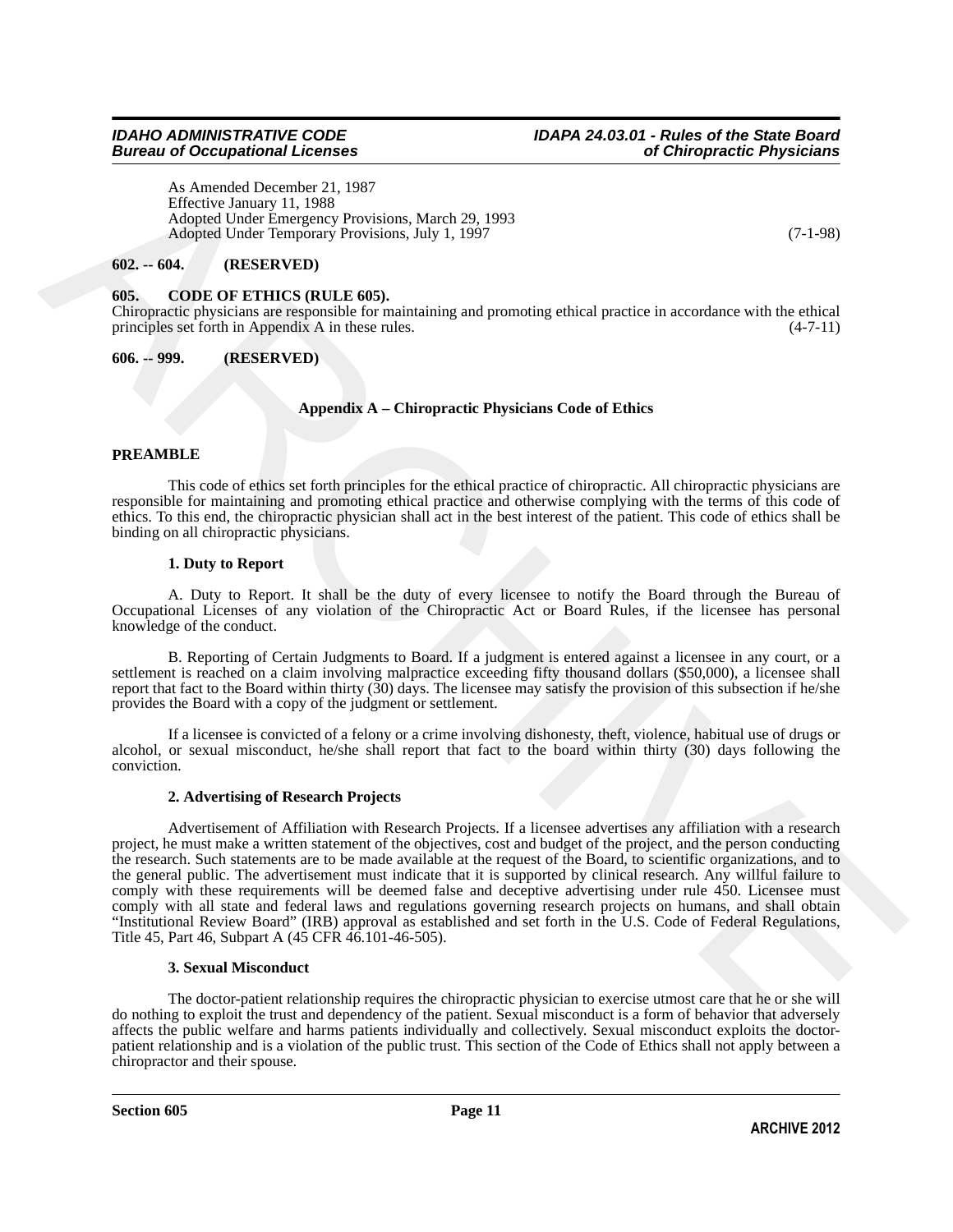### *Bureau of Occupational Licenses*

As Amended December 21, 1987 Effective January 11, 1988 Adopted Under Emergency Provisions, March 29, 1993 Adopted Under Temporary Provisions, July 1, 1997 (7-1-98)

#### <span id="page-10-0"></span>**602. -- 604. (RESERVED)**

#### <span id="page-10-3"></span><span id="page-10-1"></span>**605. CODE OF ETHICS (RULE 605).**

Chiropractic physicians are responsible for maintaining and promoting ethical practice in accordance with the ethical principles set forth in Appendix A in these rules. (4-7-11)

#### <span id="page-10-2"></span>**606. -- 999. (RESERVED)**

#### **Appendix A – Chiropractic Physicians Code of Ethics**

#### **PREAMBLE**

This code of ethics set forth principles for the ethical practice of chiropractic. All chiropractic physicians are responsible for maintaining and promoting ethical practice and otherwise complying with the terms of this code of ethics. To this end, the chiropractic physician shall act in the best interest of the patient. This code of ethics shall be binding on all chiropractic physicians.

#### **1. Duty to Report**

A. Duty to Report. It shall be the duty of every licensee to notify the Board through the Bureau of Occupational Licenses of any violation of the Chiropractic Act or Board Rules, if the licensee has personal knowledge of the conduct.

B. Reporting of Certain Judgments to Board. If a judgment is entered against a licensee in any court, or a settlement is reached on a claim involving malpractice exceeding fifty thousand dollars (\$50,000), a licensee shall report that fact to the Board within thirty (30) days. The licensee may satisfy the provision of this subsection if he/she provides the Board with a copy of the judgment or settlement.

If a licensee is convicted of a felony or a crime involving dishonesty, theft, violence, habitual use of drugs or alcohol, or sexual misconduct, he/she shall report that fact to the board within thirty (30) days following the conviction.

#### **2. Advertising of Research Projects**

A A America Character 2.1, 1987<br>
There hammer 11, 1988<br>
There Franches 2.1, 1987<br>
Adopted Universe Transfer Towards March 29, 1993<br>
Adopted Universe Department (European March 20, 1997)<br> **(6).** - GODE OF EXTRICS (RULE 605 Advertisement of Affiliation with Research Projects. If a licensee advertises any affiliation with a research project, he must make a written statement of the objectives, cost and budget of the project, and the person conducting the research. Such statements are to be made available at the request of the Board, to scientific organizations, and to the general public. The advertisement must indicate that it is supported by clinical research. Any willful failure to comply with these requirements will be deemed false and deceptive advertising under rule 450. Licensee must comply with all state and federal laws and regulations governing research projects on humans, and shall obtain "Institutional Review Board" (IRB) approval as established and set forth in the U.S. Code of Federal Regulations, Title 45, Part 46, Subpart A (45 CFR 46.101-46-505).

#### **3. Sexual Misconduct**

The doctor-patient relationship requires the chiropractic physician to exercise utmost care that he or she will do nothing to exploit the trust and dependency of the patient. Sexual misconduct is a form of behavior that adversely affects the public welfare and harms patients individually and collectively. Sexual misconduct exploits the doctorpatient relationship and is a violation of the public trust. This section of the Code of Ethics shall not apply between a chiropractor and their spouse.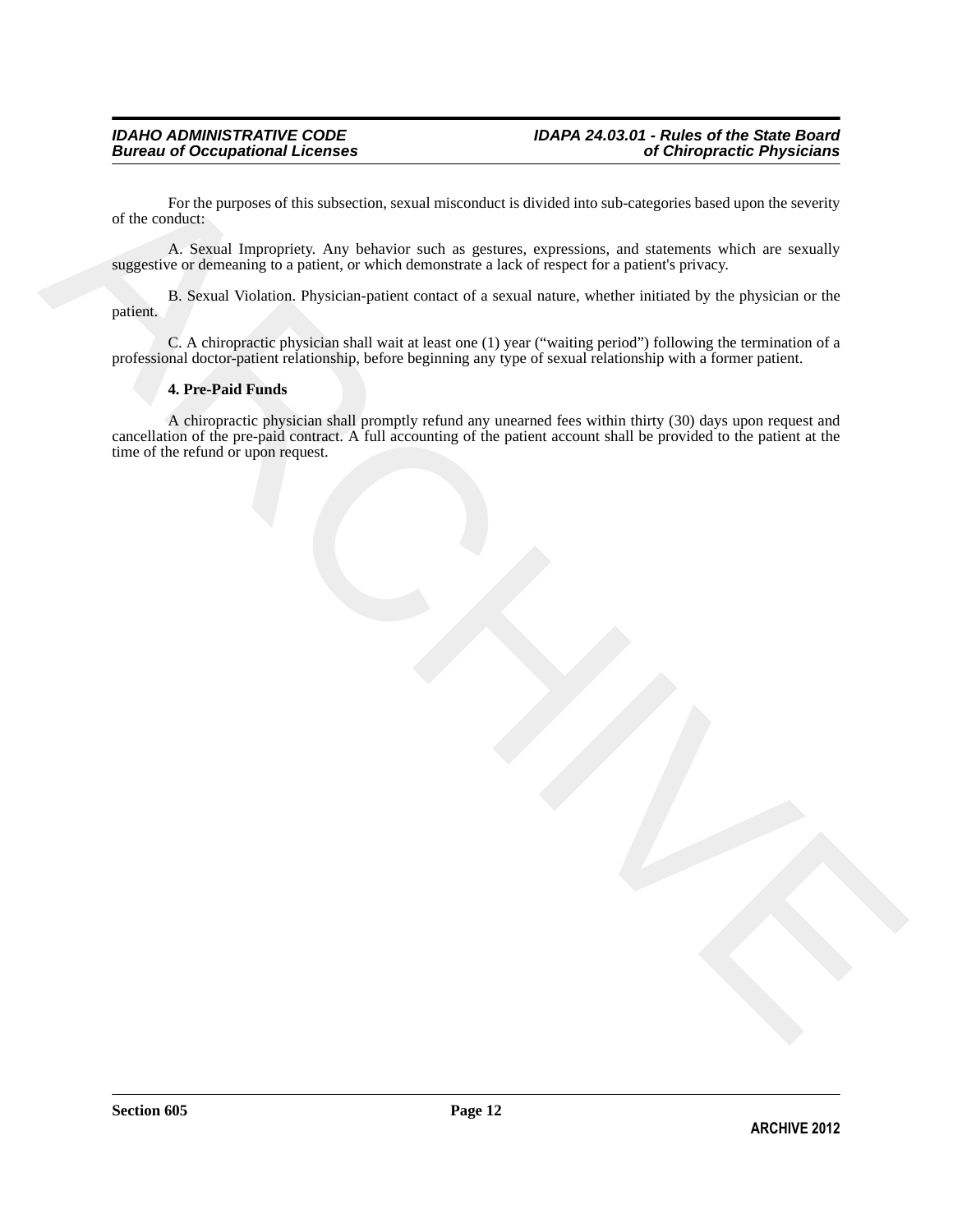For the purposes of this subsection, sexual misconduct is divided into sub-categories based upon the severity of the conduct:

A. Sexual Impropriety. Any behavior such as gestures, expressions, and statements which are sexually suggestive or demeaning to a patient, or which demonstrate a lack of respect for a patient's privacy.

B. Sexual Violation. Physician-patient contact of a sexual nature, whether initiated by the physician or the patient.

C. A chiropractic physician shall wait at least one (1) year ("waiting period") following the termination of a professional doctor-patient relationship, before beginning any type of sexual relationship with a former patient.

#### **4. Pre-Paid Funds**

The the partnass of this subsection, sexual wisconduct is divided into sub-exaggeries hused top on the serving<br>  $\Lambda$ . Second impropriate Any behavior anch as genuss, expressions, and statements which are sexually<br>
appeare A chiropractic physician shall promptly refund any unearned fees within thirty (30) days upon request and cancellation of the pre-paid contract. A full accounting of the patient account shall be provided to the patient at the time of the refund or upon request.